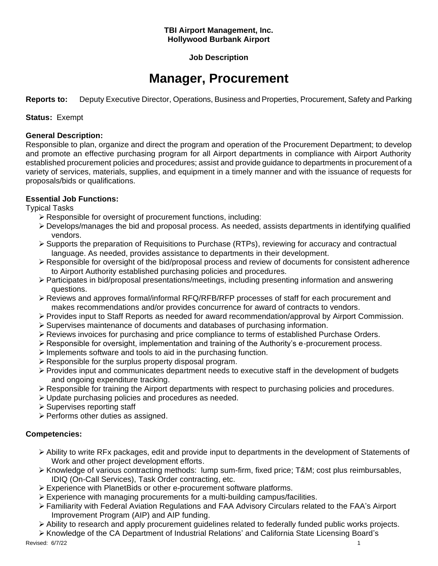#### **TBI Airport Management, Inc. Hollywood Burbank Airport**

# **Job Description**

# **Manager, Procurement**

**Reports to:** Deputy Executive Director, Operations, Business and Properties, Procurement, Safety and Parking

**Status:** Exempt

#### **General Description:**

Responsible to plan, organize and direct the program and operation of the Procurement Department; to develop and promote an effective purchasing program for all Airport departments in compliance with Airport Authority established procurement policies and procedures; assist and provide guidance to departments in procurement of a variety of services, materials, supplies, and equipment in a timely manner and with the issuance of requests for proposals/bids or qualifications.

# **Essential Job Functions:**

Typical Tasks

- ➢ Responsible for oversight of procurement functions, including:
- ➢ Develops/manages the bid and proposal process. As needed, assists departments in identifying qualified vendors.
- ➢ Supports the preparation of Requisitions to Purchase (RTPs), reviewing for accuracy and contractual language. As needed, provides assistance to departments in their development.
- ➢ Responsible for oversight of the bid/proposal process and review of documents for consistent adherence to Airport Authority established purchasing policies and procedures.
- ➢ Participates in bid/proposal presentations/meetings, including presenting information and answering questions.
- ➢ Reviews and approves formal/informal RFQ/RFB/RFP processes of staff for each procurement and makes recommendations and/or provides concurrence for award of contracts to vendors.
- ➢ Provides input to Staff Reports as needed for award recommendation/approval by Airport Commission.
- ➢ Supervises maintenance of documents and databases of purchasing information.
- ➢ Reviews invoices for purchasing and price compliance to terms of established Purchase Orders.
- ➢ Responsible for oversight, implementation and training of the Authority's e-procurement process.
- ➢ Implements software and tools to aid in the purchasing function.
- ➢ Responsible for the surplus property disposal program.
- ➢ Provides input and communicates department needs to executive staff in the development of budgets and ongoing expenditure tracking.
- ➢ Responsible for training the Airport departments with respect to purchasing policies and procedures.
- ➢ Update purchasing policies and procedures as needed.
- ➢ Supervises reporting staff
- ➢ Performs other duties as assigned.

# **Competencies:**

- ➢ Ability to write RFx packages, edit and provide input to departments in the development of Statements of Work and other project development efforts.
- ➢ Knowledge of various contracting methods: lump sum-firm, fixed price; T&M; cost plus reimbursables, IDIQ (On-Call Services), Task Order contracting, etc.
- ➢ Experience with PlanetBids or other e-procurement software platforms.
- $\triangleright$  Experience with managing procurements for a multi-building campus/facilities.
- ➢ Familiarity with Federal Aviation Regulations and FAA Advisory Circulars related to the FAA's Airport Improvement Program (AIP) and AIP funding.
- ➢ Ability to research and apply procurement guidelines related to federally funded public works projects.
- ➢ Knowledge of the CA Department of Industrial Relations' and California State Licensing Board's